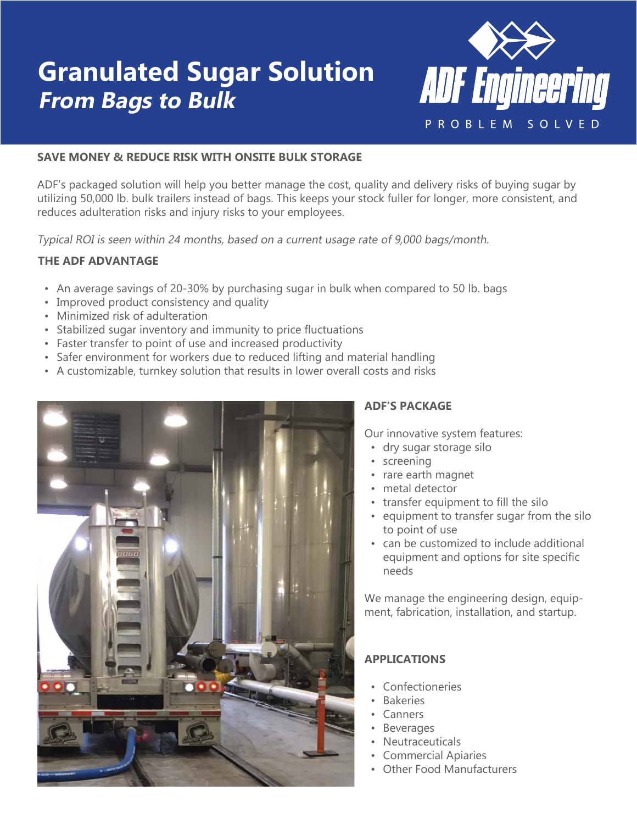# **Granulated Sugar Solution From Bags to Bulk**



## **SAVE MONEY & REDUCE RISK WITH ONSITE BULK STORAGE**

ADF's packaged solution will help you better manage the cost, quality and delivery risks of buying sugar by utilizing 50,000 lb. bulk trailers instead of bags. This keeps your stock fuller for longer, more consistent, and reduces adulteration risks and injury risks to your employees.

Typical ROI is seen within 24 months, based on a current usage rate of 9,000 bags/month.

### **THE ADF ADVANTAGE**

- An average savings of 20-30% by purchasing sugar in bulk when compared to 50 lb. bags
- Improved product consistency and quality
- Minimized risk of adulteration
- Stabilized sugar inventory and immunity to price fluctuations
- Faster transfer to point of use and increased productivity
- Safer environment for workers due to reduced lifting and material handling
- A customizable, turnkey solution that results in lower overall costs and risks



# **ADF'S PACKAGE**

Our innovative system features:

- dry sugar storage silo
- screening
- rare earth magnet
- metal detector
- transfer equipment to fill the silo
- equipment to transfer sugar from the silo to point of use
- can be customized to include additional equipment and options for site specific needs

We manage the engineering design, equipment, fabrication, installation, and startup.

# **APPLICATIONS**

- Confectioneries
- Bakeries
- Canners
- Beverages
- Neutraceuticals
- Commercial Apiaries
- Other Food Manufacturers